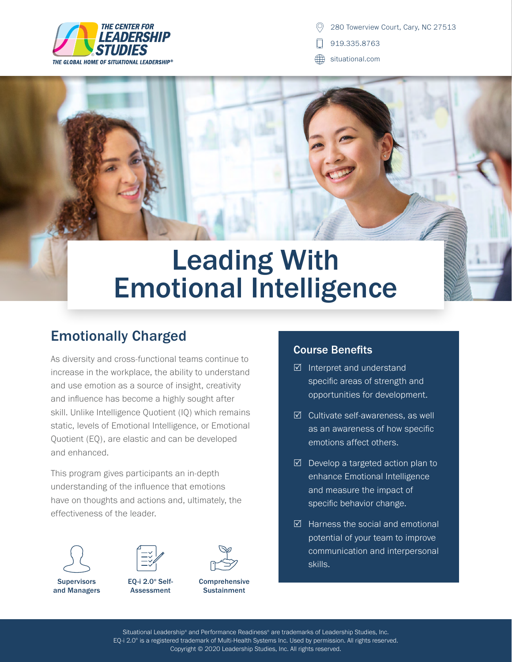

- 919.335.8763
- situational.com

## Leading With Emotional Intelligence

## Emotionally Charged

As diversity and cross-functional teams continue to increase in the workplace, the ability to understand and use emotion as a source of insight, creativity and influence has become a highly sought after skill. Unlike Intelligence Quotient (IQ) which remains static, levels of Emotional Intelligence, or Emotional Quotient (EQ), are elastic and can be developed and enhanced.

This program gives participants an in-depth understanding of the influence that emotions have on thoughts and actions and, ultimately, the effectiveness of the leader.



and Managers



EQ-i 2.0® Self-Assessment



Comprehensive **Sustainment** 

## Course Benefits

- $\boxtimes$  Interpret and understand specific areas of strength and opportunities for development.
- $\boxtimes$  Cultivate self-awareness, as well as an awareness of how specific emotions affect others.
- $\boxtimes$  Develop a targeted action plan to enhance Emotional Intelligence and measure the impact of specific behavior change.
- $\boxtimes$  Harness the social and emotional potential of your team to improve communication and interpersonal skills.